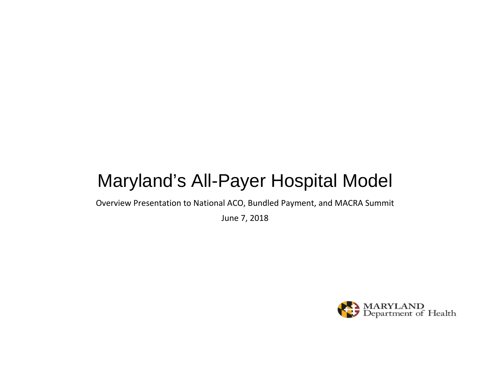# Maryland's All-Payer Hospital Model

Overview Presentation to National ACO, Bundled Payment, and MACRA Summit

June 7, 2018

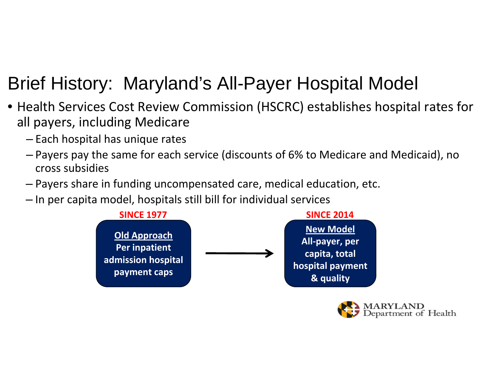# Brief History: Maryland's All-Payer Hospital Model

- Health Services Cost Review Commission (HSCRC) establishes hospital rates for all payers, including Medicare
	- ‒ Each hospital has unique rates
	- ‒ Payers pay the same for each service (discounts of 6% to Medicare and Medicaid), no cross subsidies
	- ‒ Payers share in funding uncompensated care, medical education, etc.
	- ‒ In per capita model, hospitals still bill for individual services



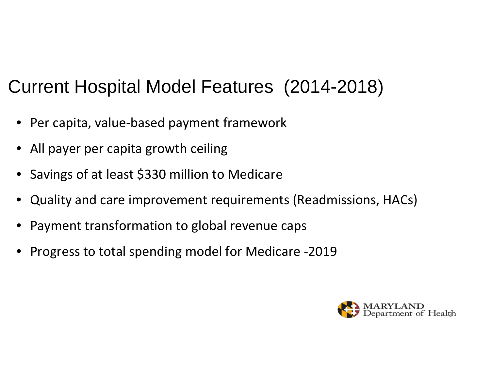# Current Hospital Model Features (2014-2018)

- Per capita, value-based payment framework
- All payer per capita growth ceiling
- Savings of at least \$330 million to Medicare
- Quality and care improvement requirements (Readmissions, HACs)
- Payment transformation to global revenue caps
- Progress to total spending model for Medicare -2019

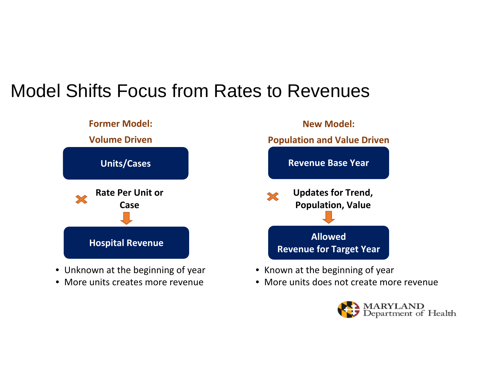#### Model Shifts Focus from Rates to Revenues



- Unknown at the beginning of year
- More units creates more revenue
- Known at the beginning of year
- More units does not create more revenue

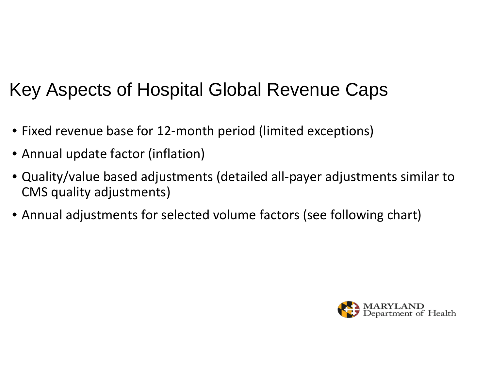# Key Aspects of Hospital Global Revenue Caps

- Fixed revenue base for 12 ‐month period (limited exceptions)
- Annual update factor (inflation)
- Quality/value based adjustments (detailed all ‐payer adjustments similar to CMS quality adjustments)
- Annual adjustments for selected volume factors (see following chart)

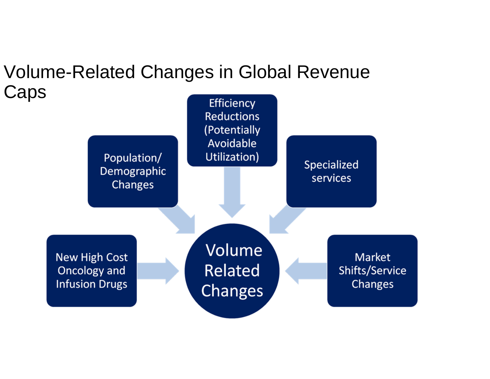# Volume-Related Changes in Global Revenue Caps

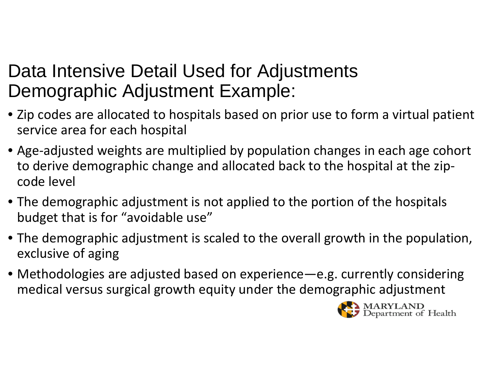#### Data Intensive Detail Used for Adjustments Demographic Adjustment Example:

- Zip codes are allocated to hospitals based on prior use to form a virtual patient service area for each hospital
- Age ‐adjusted weights are multiplied by population changes in each age cohort to derive demographic change and allocated back to the hospital at the zip ‐ code level
- The demographic adjustment is not applied to the portion of the hospitals budget that is for "avoidable use"
- The demographic adjustment is scaled to the overall growth in the population, exclusive of aging
- Methodologies are adjusted based on experience—e.g. currently considering medical versus surgical growth equity under the demographic adjustment

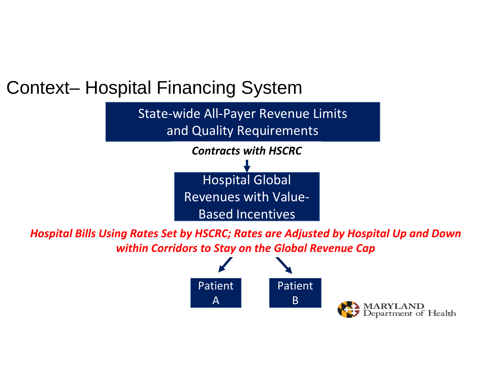#### Context– Hospital Financing System

State ‐wide All ‐Payer Revenue Limits and Quality Requirements



*Hospital Bills Using Rates Set by HSCRC; Rates are Adjusted by Hospital Up and Down within Corridors to Stay on the Global Revenue Cap*



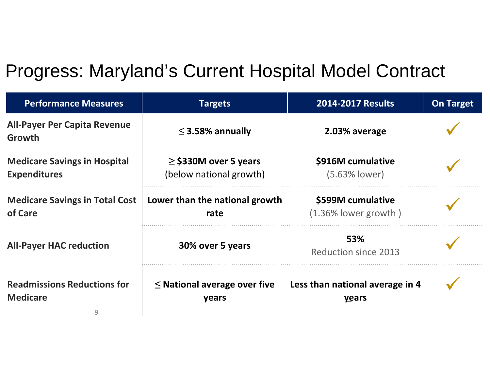# Progress: Maryland's Current Hospital Model Contract

| <b>Performance Measures</b>                                | <b>Targets</b>                                       | <b>2014-2017 Results</b>                     | <b>On Target</b> |
|------------------------------------------------------------|------------------------------------------------------|----------------------------------------------|------------------|
| <b>All-Payer Per Capita Revenue</b><br>Growth              | $\leq$ 3.58% annually                                | 2.03% average                                |                  |
| <b>Medicare Savings in Hospital</b><br><b>Expenditures</b> | $\ge$ \$330M over 5 years<br>(below national growth) | \$916M cumulative<br>$(5.63%$ lower)         |                  |
| <b>Medicare Savings in Total Cost</b><br>of Care           | Lower than the national growth<br>rate               | \$599M cumulative<br>$(1.36\%$ lower growth) |                  |
| <b>All-Payer HAC reduction</b>                             | 30% over 5 years                                     | 53%<br><b>Reduction since 2013</b>           |                  |
| <b>Readmissions Reductions for</b><br><b>Medicare</b><br>9 | $\leq$ National average over five<br>years           | Less than national average in 4<br>years     |                  |